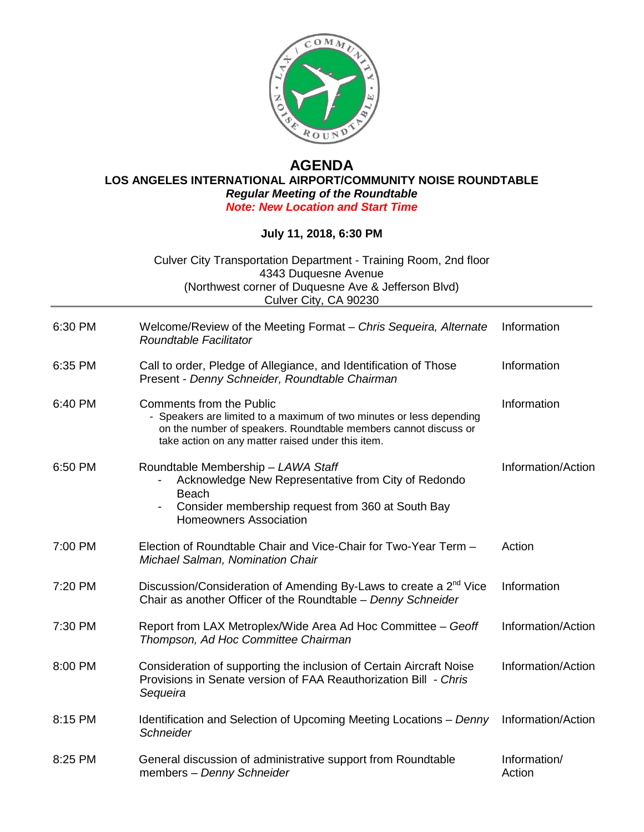

## **AGENDA LOS ANGELES INTERNATIONAL AIRPORT/COMMUNITY NOISE ROUNDTABLE** *Regular Meeting of the Roundtable Note: New Location and Start Time*

## **July 11, 2018, 6:30 PM**

Culver City Transportation Department - Training Room, 2nd floor 4343 Duquesne Avenue (Northwest corner of Duquesne Ave & Jefferson Blvd) Culver City, CA 90230

| 6:30 PM | Welcome/Review of the Meeting Format - Chris Sequeira, Alternate<br>Roundtable Facilitator                                                                                                                                      | Information            |
|---------|---------------------------------------------------------------------------------------------------------------------------------------------------------------------------------------------------------------------------------|------------------------|
| 6:35 PM | Call to order, Pledge of Allegiance, and Identification of Those<br>Present - Denny Schneider, Roundtable Chairman                                                                                                              | Information            |
| 6:40 PM | <b>Comments from the Public</b><br>- Speakers are limited to a maximum of two minutes or less depending<br>on the number of speakers. Roundtable members cannot discuss or<br>take action on any matter raised under this item. | Information            |
| 6:50 PM | Roundtable Membership - LAWA Staff<br>Acknowledge New Representative from City of Redondo<br><b>Beach</b><br>Consider membership request from 360 at South Bay<br><b>Homeowners Association</b>                                 | Information/Action     |
| 7:00 PM | Election of Roundtable Chair and Vice-Chair for Two-Year Term -<br>Michael Salman, Nomination Chair                                                                                                                             | Action                 |
| 7:20 PM | Discussion/Consideration of Amending By-Laws to create a 2 <sup>nd</sup> Vice<br>Chair as another Officer of the Roundtable - Denny Schneider                                                                                   | Information            |
| 7:30 PM | Report from LAX Metroplex/Wide Area Ad Hoc Committee - Geoff<br>Thompson, Ad Hoc Committee Chairman                                                                                                                             | Information/Action     |
| 8:00 PM | Consideration of supporting the inclusion of Certain Aircraft Noise<br>Provisions in Senate version of FAA Reauthorization Bill - Chris<br>Sequeira                                                                             | Information/Action     |
| 8:15 PM | Identification and Selection of Upcoming Meeting Locations - Denny<br>Schneider                                                                                                                                                 | Information/Action     |
| 8:25 PM | General discussion of administrative support from Roundtable<br>members - Denny Schneider                                                                                                                                       | Information/<br>Action |